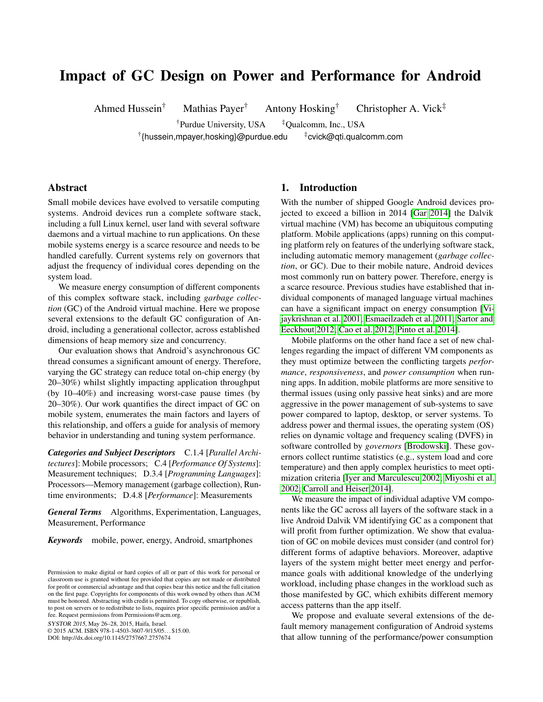# Impact of GC Design on Power and Performance for Android

Ahmed Hussein<sup>†</sup> Mathias Payer<sup>†</sup> Antony Hosking<sup>†</sup> Christopher A. Vick<sup>‡</sup>

<sup>†</sup>Purdue University, USA <sup>‡</sup>Qualcomm, Inc., USA † {hussein,mpayer,hosking}@purdue.edu ‡ cvick@qti.qualcomm.com

# Abstract

Small mobile devices have evolved to versatile computing systems. Android devices run a complete software stack, including a full Linux kernel, user land with several software daemons and a virtual machine to run applications. On these mobile systems energy is a scarce resource and needs to be handled carefully. Current systems rely on governors that adjust the frequency of individual cores depending on the system load.

We measure energy consumption of different components of this complex software stack, including *garbage collection* (GC) of the Android virtual machine. Here we propose several extensions to the default GC configuration of Android, including a generational collector, across established dimensions of heap memory size and concurrency.

Our evaluation shows that Android's asynchronous GC thread consumes a significant amount of energy. Therefore, varying the GC strategy can reduce total on-chip energy (by 20–30%) whilst slightly impacting application throughput (by 10–40%) and increasing worst-case pause times (by 20–30%). Our work quantifies the direct impact of GC on mobile system, enumerates the main factors and layers of this relationship, and offers a guide for analysis of memory behavior in understanding and tuning system performance.

*Categories and Subject Descriptors* C.1.4 [*Parallel Architectures*]: Mobile processors; C.4 [*Performance Of Systems*]: Measurement techniques; D.3.4 [*Programming Languages*]: Processors—Memory management (garbage collection), Runtime environments; D.4.8 [*Performance*]: Measurements

*General Terms* Algorithms, Experimentation, Languages, Measurement, Performance

*Keywords* mobile, power, energy, Android, smartphones

SYSTOR 2015, May 26–28, 2015, Haifa, Israel.

© 2015 ACM. ISBN 978-1-4503-3607-9/15/05. . . \$15.00. DOI: http://dx.doi.org/10.1145/2757667.2757674

# 1. Introduction

With the number of shipped Google Android devices projected to exceed a billion in 2014 [\[Gar 2014\]](#page-10-0) the Dalvik virtual machine (VM) has become an ubiquitous computing platform. Mobile applications (apps) running on this computing platform rely on features of the underlying software stack, including automatic memory management (*garbage collection*, or GC). Due to their mobile nature, Android devices most commonly run on battery power. Therefore, energy is a scarce resource. Previous studies have established that individual components of managed language virtual machines can have a significant impact on energy consumption [\[Vi](#page-11-0)[jaykrishnan et al. 2001;](#page-11-0) [Esmaeilzadeh et al. 2011;](#page-10-1) [Sartor and](#page-11-1) [Eeckhout 2012;](#page-11-1) [Cao et al. 2012;](#page-9-0) [Pinto et al. 2014\]](#page-11-2).

Mobile platforms on the other hand face a set of new challenges regarding the impact of different VM components as they must optimize between the conflicting targets *performance*, *responsiveness*, and *power consumption* when running apps. In addition, mobile platforms are more sensitive to thermal issues (using only passive heat sinks) and are more aggressive in the power management of sub-systems to save power compared to laptop, desktop, or server systems. To address power and thermal issues, the operating system (OS) relies on dynamic voltage and frequency scaling (DVFS) in software controlled by *governors* [\[Brodowski\]](#page-9-1). These governors collect runtime statistics (e.g., system load and core temperature) and then apply complex heuristics to meet optimization criteria [\[Iyer and Marculescu 2002;](#page-10-2) [Miyoshi et al.](#page-11-3) [2002;](#page-11-3) [Carroll and Heiser 2014\]](#page-10-3).

We measure the impact of individual adaptive VM components like the GC across all layers of the software stack in a live Android Dalvik VM identifying GC as a component that will profit from further optimization. We show that evaluation of GC on mobile devices must consider (and control for) different forms of adaptive behaviors. Moreover, adaptive layers of the system might better meet energy and performance goals with additional knowledge of the underlying workload, including phase changes in the workload such as those manifested by GC, which exhibits different memory access patterns than the app itself.

We propose and evaluate several extensions of the default memory management configuration of Android systems that allow tunning of the performance/power consumption

Permission to make digital or hard copies of all or part of this work for personal or classroom use is granted without fee provided that copies are not made or distributed for profit or commercial advantage and that copies bear this notice and the full citation on the first page. Copyrights for components of this work owned by others than ACM must be honored. Abstracting with credit is permitted. To copy otherwise, or republish, to post on servers or to redistribute to lists, requires prior specific permission and/or a fee. Request permissions from Permissions@acm.org.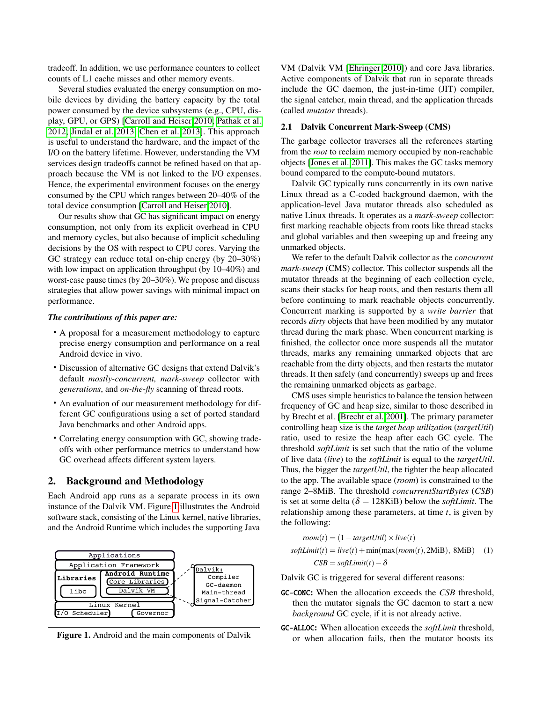tradeoff. In addition, we use performance counters to collect counts of L1 cache misses and other memory events.

Several studies evaluated the energy consumption on mobile devices by dividing the battery capacity by the total power consumed by the device subsystems (e.g., CPU, display, GPU, or GPS) [\[Carroll and Heiser 2010;](#page-9-2) [Pathak et al.](#page-11-4) [2012;](#page-11-4) [Jindal et al. 2013;](#page-10-4) [Chen et al. 2013\]](#page-10-5). This approach is useful to understand the hardware, and the impact of the I/O on the battery lifetime. However, understanding the VM services design tradeoffs cannot be refined based on that approach because the VM is not linked to the I/O expenses. Hence, the experimental environment focuses on the energy consumed by the CPU which ranges between 20–40% of the total device consumption [\[Carroll and Heiser 2010\]](#page-9-2).

Our results show that GC has significant impact on energy consumption, not only from its explicit overhead in CPU and memory cycles, but also because of implicit scheduling decisions by the OS with respect to CPU cores. Varying the GC strategy can reduce total on-chip energy (by 20–30%) with low impact on application throughput (by 10–40%) and worst-case pause times (by 20–30%). We propose and discuss strategies that allow power savings with minimal impact on performance.

### *The contributions of this paper are:*

- A proposal for a measurement methodology to capture precise energy consumption and performance on a real Android device in vivo.
- Discussion of alternative GC designs that extend Dalvik's default *mostly-concurrent, mark-sweep* collector with *generations*, and *on-the-fly* scanning of thread roots.
- An evaluation of our measurement methodology for different GC configurations using a set of ported standard Java benchmarks and other Android apps.
- Correlating energy consumption with GC, showing tradeoffs with other performance metrics to understand how GC overhead affects different system layers.

# 2. Background and Methodology

Each Android app runs as a separate process in its own instance of the Dalvik VM. Figure [1](#page-1-0) illustrates the Android software stack, consisting of the Linux kernel, native libraries, and the Android Runtime which includes the supporting Java

<span id="page-1-0"></span>

Figure 1. Android and the main components of Dalvik

VM (Dalvik VM [\[Ehringer 2010\]](#page-10-6)) and core Java libraries. Active components of Dalvik that run in separate threads include the GC daemon, the just-in-time (JIT) compiler, the signal catcher, main thread, and the application threads (called *mutator* threads).

# 2.1 Dalvik Concurrent Mark-Sweep (CMS)

The garbage collector traverses all the references starting from the *root* to reclaim memory occupied by non-reachable objects [\[Jones et al. 2011\]](#page-10-7). This makes the GC tasks memory bound compared to the compute-bound mutators.

Dalvik GC typically runs concurrently in its own native Linux thread as a C-coded background daemon, with the application-level Java mutator threads also scheduled as native Linux threads. It operates as a *mark-sweep* collector: first marking reachable objects from roots like thread stacks and global variables and then sweeping up and freeing any unmarked objects.

We refer to the default Dalvik collector as the *concurrent mark-sweep* (CMS) collector. This collector suspends all the mutator threads at the beginning of each collection cycle, scans their stacks for heap roots, and then restarts them all before continuing to mark reachable objects concurrently. Concurrent marking is supported by a *write barrier* that records *dirty* objects that have been modified by any mutator thread during the mark phase. When concurrent marking is finished, the collector once more suspends all the mutator threads, marks any remaining unmarked objects that are reachable from the dirty objects, and then restarts the mutator threads. It then safely (and concurrently) sweeps up and frees the remaining unmarked objects as garbage.

CMS uses simple heuristics to balance the tension between frequency of GC and heap size, similar to those described in by Brecht et al. [\[Brecht et al. 2001\]](#page-9-3). The primary parameter controlling heap size is the *target heap utilization* (*targetUtil*) ratio, used to resize the heap after each GC cycle. The threshold *softLimit* is set such that the ratio of the volume of live data (*live*) to the *softLimit* is equal to the *targetUtil*. Thus, the bigger the *targetUtil*, the tighter the heap allocated to the app. The available space (*room*) is constrained to the range 2–8MiB. The threshold *concurrentStartBytes* (*CSB*) is set at some delta ( $\delta = 128$ KiB) below the *softLimit*. The relationship among these parameters, at time *t*, is given by the following:

<span id="page-1-1"></span>
$$
room(t) = (1 - targetUtil) \times live(t)
$$
  
softLimit(t) = live(t) + min(max(room(t), 2MiB), 8MiB) (1)  
CSB = softLimit(t) -  $\delta$ 

Dalvik GC is triggered for several different reasons:

- GC-CONC: When the allocation exceeds the *CSB* threshold, then the mutator signals the GC daemon to start a new *background* GC cycle, if it is not already active.
- GC-ALLOC: When allocation exceeds the *softLimit* threshold, or when allocation fails, then the mutator boosts its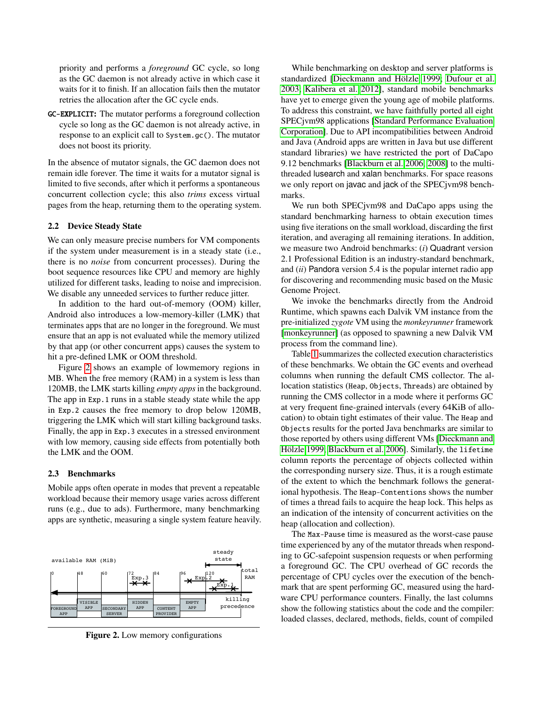priority and performs a *foreground* GC cycle, so long as the GC daemon is not already active in which case it waits for it to finish. If an allocation fails then the mutator retries the allocation after the GC cycle ends.

GC-EXPLICIT: The mutator performs a foreground collection cycle so long as the GC daemon is not already active, in response to an explicit call to System.gc(). The mutator does not boost its priority.

In the absence of mutator signals, the GC daemon does not remain idle forever. The time it waits for a mutator signal is limited to five seconds, after which it performs a spontaneous concurrent collection cycle; this also *trims* excess virtual pages from the heap, returning them to the operating system.

#### 2.2 Device Steady State

We can only measure precise numbers for VM components if the system under measurement is in a steady state (i.e., there is no *noise* from concurrent processes). During the boot sequence resources like CPU and memory are highly utilized for different tasks, leading to noise and imprecision. We disable any unneeded services to further reduce jitter.

In addition to the hard out-of-memory (OOM) killer, Android also introduces a low-memory-killer (LMK) that terminates apps that are no longer in the foreground. We must ensure that an app is not evaluated while the memory utilized by that app (or other concurrent apps) causes the system to hit a pre-defined LMK or OOM threshold.

Figure [2](#page-2-0) shows an example of lowmemory regions in MB. When the free memory (RAM) in a system is less than 120MB, the LMK starts killing *empty apps* in the background. The app in Exp.1 runs in a stable steady state while the app in Exp.2 causes the free memory to drop below 120MB, triggering the LMK which will start killing background tasks. Finally, the app in Exp.3 executes in a stressed environment with low memory, causing side effects from potentially both the LMK and the OOM.

#### 2.3 Benchmarks

Mobile apps often operate in modes that prevent a repeatable workload because their memory usage varies across different runs (e.g., due to ads). Furthermore, many benchmarking apps are synthetic, measuring a single system feature heavily.

<span id="page-2-0"></span>

Figure 2. Low memory configurations

While benchmarking on desktop and server platforms is standardized [\[Dieckmann and Hölzle 1999;](#page-10-8) [Dufour et al.](#page-10-9) [2003;](#page-10-9) [Kalibera et al. 2012\]](#page-10-10), standard mobile benchmarks have yet to emerge given the young age of mobile platforms. To address this constraint, we have faithfully ported all eight SPECjvm98 applications [\[Standard Performance Evaluation](#page-11-5) [Corporation\]](#page-11-5). Due to API incompatibilities between Android and Java (Android apps are written in Java but use different standard libraries) we have restricted the port of DaCapo 9.12 benchmarks [\[Blackburn et al. 2006,](#page-9-4) [2008\]](#page-9-5) to the multithreaded lusearch and xalan benchmarks. For space reasons we only report on javac and jack of the SPECjvm98 benchmarks.

We run both SPECjvm98 and DaCapo apps using the standard benchmarking harness to obtain execution times using five iterations on the small workload, discarding the first iteration, and averaging all remaining iterations. In addition, we measure two Android benchmarks: (*i*) Quadrant version 2.1 Professional Edition is an industry-standard benchmark, and (*ii*) Pandora version 5.4 is the popular internet radio app for discovering and recommending music based on the Music Genome Project.

We invoke the benchmarks directly from the Android Runtime, which spawns each Dalvik VM instance from the pre-initialized *zygote* VM using the *monkeyrunner* framework [\[monkeyrunner\]](#page-11-6) (as opposed to spawning a new Dalvik VM process from the command line).

Table [1](#page-3-0) summarizes the collected execution characteristics of these benchmarks. We obtain the GC events and overhead columns when running the default CMS collector. The allocation statistics (Heap, Objects, Threads) are obtained by running the CMS collector in a mode where it performs GC at very frequent fine-grained intervals (every 64KiB of allocation) to obtain tight estimates of their value. The Heap and Objects results for the ported Java benchmarks are similar to those reported by others using different VMs [\[Dieckmann and](#page-10-8) [Hölzle 1999;](#page-10-8) [Blackburn et al. 2006\]](#page-9-4). Similarly, the lifetime column reports the percentage of objects collected within the corresponding nursery size. Thus, it is a rough estimate of the extent to which the benchmark follows the generational hypothesis. The Heap-Contentions shows the number of times a thread fails to acquire the heap lock. This helps as an indication of the intensity of concurrent activities on the heap (allocation and collection).

The Max-Pause time is measured as the worst-case pause time experienced by any of the mutator threads when responding to GC-safepoint suspension requests or when performing a foreground GC. The CPU overhead of GC records the percentage of CPU cycles over the execution of the benchmark that are spent performing GC, measured using the hardware CPU performance counters. Finally, the last columns show the following statistics about the code and the compiler: loaded classes, declared, methods, fields, count of compiled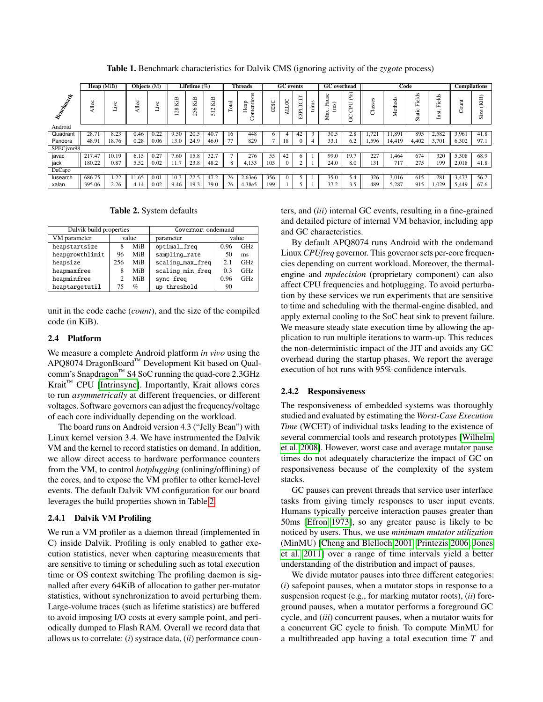<span id="page-3-0"></span>

|                         | Heap (MiB)   |                                      | Objects $(M)$<br>Lifetime $(\%)$ |      |              | <b>Threads</b>      |                                                             | <b>GC</b> events |                            |                | <b>GC</b> overhead |                  |       | Code          |                                          | <b>Compilations</b> |         |                  |                |       |                  |
|-------------------------|--------------|--------------------------------------|----------------------------------|------|--------------|---------------------|-------------------------------------------------------------|------------------|----------------------------|----------------|--------------------|------------------|-------|---------------|------------------------------------------|---------------------|---------|------------------|----------------|-------|------------------|
| ★<br><b>Replacement</b> | $\circ$<br>≗ | $\omega$<br>$\overline{\phantom{0}}$ | ಲ<br>≗                           | ive  | Α<br>⊻<br>28 | KiB<br>56<br>$\sim$ | KiB<br>$\sim$<br>$\overline{\phantom{0}}$<br>$\overline{5}$ | Ξ<br>Ě           | ontentions<br>ਰਿ<br>£<br>◡ | CONC           | <b>ALLOC</b>       | Н<br>H<br>EXPLIC | trims | ದ<br>ms)<br>ದ | F)<br>$\overline{\phantom{0}}$<br>℡<br>Y | $\omega$<br>Classes | Methods | Fields<br>Static | Fields<br>Inst | pund  | 盒<br>Э<br>R<br>ಜ |
| Android                 |              |                                      |                                  |      |              |                     |                                                             |                  |                            |                |                    |                  |       |               |                                          |                     |         |                  |                |       |                  |
| Quadrant                | 28.71        | 8.23                                 | 0.46                             | 0.22 | 9.50         | 20.5                | $\overline{40.7}$                                           | 16               | 448                        | 6.             | 4                  | 42               |       | 30.5          | 2.8                                      | 1.721               | 11,891  | 895              | 2.582          | 3,961 | 41.8             |
| Pandora                 | 48.91        | 18.76                                | 0.28                             | 0.06 | 13.0         | 24.9                | 46.0                                                        |                  | 829                        | $\overline{ }$ | 18                 |                  |       | 33.1          | 6.2                                      | 1,596               | 14.419  | 4,402            | 3,701          | 6.302 | 97.1             |
| SPECivm98               |              |                                      |                                  |      |              |                     |                                                             |                  |                            |                |                    |                  |       |               |                                          |                     |         |                  |                |       |                  |
| javac                   | 217.47       | 10.19                                | 6.15                             | 0.27 | 7.60         | 15.8                | 32.7                                                        |                  | 276                        | 55             | 42                 | 6                |       | 99.0          | 19.7                                     | 227                 | 1,464   | 674              | 320            | 5.308 | 68.9             |
| jack                    | 180.22       | 0.87                                 | 5.52                             | 0.02 | 11.7         | 23.8                | 48.2                                                        | 8                | 4,133                      | 105            | $\Omega$           | $\sim$           |       | 24.0          | 8.0                                      | 131                 | 717     | 275              | 199            | 2,018 | 41.8             |
| DaCapo                  |              |                                      |                                  |      |              |                     |                                                             |                  |                            |                |                    |                  |       |               |                                          |                     |         |                  |                |       |                  |
| lusearch                | 686.75       | 1.22                                 | 1.65                             | 0.01 | 10.3         | 22.5                | 47.2                                                        | 26               | 2.63e6                     | 356            | $\Omega$           |                  |       | 35.0          | 5.4                                      | 326                 | 3,016   | 615              | 781            | 3.473 | 56.2             |
| xalan                   | 395.06       | 2.26                                 | 4.14                             | 0.02 | 9.46         | 19.3                | 39.0                                                        | 26               | 4.38e5                     | 199            |                    |                  |       | 37.2          | 3.5                                      | 489                 | 5,287   | 915              | 1,029          | 5,449 | 67.6             |

Table 1. Benchmark characteristics for Dalvik CMS (ignoring activity of the *zygote* process)

#### Table 2. System defaults

<span id="page-3-1"></span>

| Dalvik build properties |     |                 | Governor: ondemand |       |            |  |  |  |  |
|-------------------------|-----|-----------------|--------------------|-------|------------|--|--|--|--|
| VM parameter            |     | value           | parameter          | value |            |  |  |  |  |
| heapstartsize           | 8   | MiB             | optimal_freq       | 0.96  | <b>GHz</b> |  |  |  |  |
| heapgrowthlimit         | 96  | MiB             | sampling_rate      | 50    | ms         |  |  |  |  |
| heapsize                | 256 | MiB             | scaling_max_freq   | 2.1   | <b>GHz</b> |  |  |  |  |
| heapmaxfree             | 8   | MiB             | scaling_min_freq   | 0.3   | <b>GHz</b> |  |  |  |  |
| heapminfree             | 2   | MiB             | sync_freq          | 0.96  | <b>GHz</b> |  |  |  |  |
| heaptargetutil          | 75  | $\mathcal{O}_0$ | up_threshold       | 90    |            |  |  |  |  |

unit in the code cache (*count*), and the size of the compiled code (in KiB).

#### 2.4 Platform

We measure a complete Android platform *in vivo* using the APQ8074 DragonBoard™ Development Kit based on Qualcomm's Snapdragon™ S4 SoC running the quad-core 2.3GHz Krait<sup>™</sup> CPU [\[Intrinsync\]](#page-10-11). Importantly, Krait allows cores to run *asymmetrically* at different frequencies, or different voltages. Software governors can adjust the frequency/voltage of each core individually depending on the workload.

The board runs on Android version 4.3 ("Jelly Bean") with Linux kernel version 3.4. We have instrumented the Dalvik VM and the kernel to record statistics on demand. In addition, we allow direct access to hardware performance counters from the VM, to control *hotplugging* (onlining/offlining) of the cores, and to expose the VM profiler to other kernel-level events. The default Dalvik VM configuration for our board leverages the build properties shown in Table [2.](#page-3-1)

# 2.4.1 Dalvik VM Profiling

We run a VM profiler as a daemon thread (implemented in C) inside Dalvik. Profiling is only enabled to gather execution statistics, never when capturing measurements that are sensitive to timing or scheduling such as total execution time or OS context switching The profiling daemon is signalled after every 64KiB of allocation to gather per-mutator statistics, without synchronization to avoid perturbing them. Large-volume traces (such as lifetime statistics) are buffered to avoid imposing I/O costs at every sample point, and periodically dumped to Flash RAM. Overall we record data that allows us to correlate: (*i*) systrace data, (*ii*) performance counters, and (*iii*) internal GC events, resulting in a fine-grained and detailed picture of internal VM behavior, including app and GC characteristics.

By default APQ8074 runs Android with the ondemand Linux *CPUfreq* governor. This governor sets per-core frequencies depending on current workload. Moreover, the thermalengine and *mpdecision* (proprietary component) can also affect CPU frequencies and hotplugging. To avoid perturbation by these services we run experiments that are sensitive to time and scheduling with the thermal-engine disabled, and apply external cooling to the SoC heat sink to prevent failure. We measure steady state execution time by allowing the application to run multiple iterations to warm-up. This reduces the non-deterministic impact of the JIT and avoids any GC overhead during the startup phases. We report the average execution of hot runs with 95% confidence intervals.

#### 2.4.2 Responsiveness

The responsiveness of embedded systems was thoroughly studied and evaluated by estimating the *Worst-Case Execution Time* (WCET) of individual tasks leading to the existence of several commercial tools and research prototypes [\[Wilhelm](#page-11-7) [et al. 2008\]](#page-11-7). However, worst case and average mutator pause times do not adequately characterize the impact of GC on responsiveness because of the complexity of the system stacks.

GC pauses can prevent threads that service user interface tasks from giving timely responses to user input events. Humans typically perceive interaction pauses greater than 50ms [\[Efron 1973\]](#page-10-12), so any greater pause is likely to be noticed by users. Thus, we use *minimum mutator utilization* (MinMU) [\[Cheng and Blelloch 2001;](#page-10-13) [Printezis 2006;](#page-11-8) [Jones](#page-10-7) [et al. 2011\]](#page-10-7) over a range of time intervals yield a better understanding of the distribution and impact of pauses.

We divide mutator pauses into three different categories: (*i*) safepoint pauses, when a mutator stops in response to a suspension request (e.g., for marking mutator roots), (*ii*) foreground pauses, when a mutator performs a foreground GC cycle, and (*iii*) concurrent pauses, when a mutator waits for a concurrent GC cycle to finish. To compute MinMU for a multithreaded app having a total execution time *T* and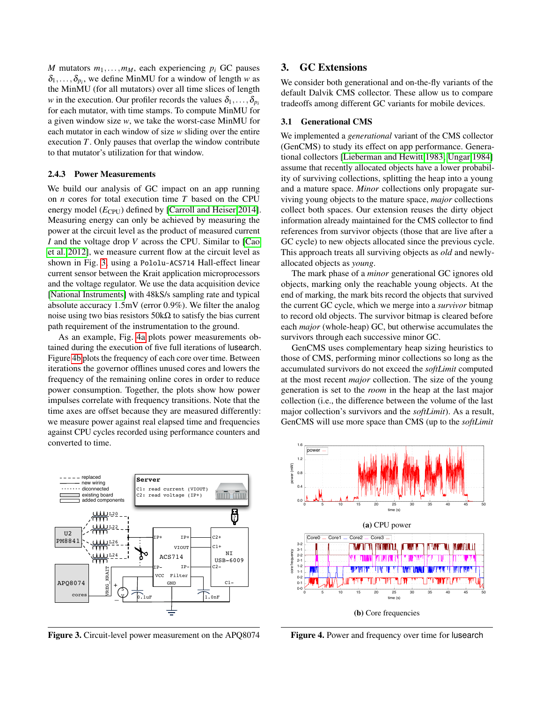*M* mutators  $m_1, \ldots, m_M$ , each experiencing  $p_i$  GC pauses  $\delta_1, \ldots, \delta_{p_i}$ , we define MinMU for a window of length *w* as the MinMU (for all mutators) over all time slices of length *w* in the execution. Our profiler records the values  $\delta_1, \ldots, \delta_n$ *i* for each mutator, with time stamps. To compute MinMU for a given window size *w*, we take the worst-case MinMU for each mutator in each window of size *w* sliding over the entire execution *T*. Only pauses that overlap the window contribute to that mutator's utilization for that window.

### 2.4.3 Power Measurements

We build our analysis of GC impact on an app running on *n* cores for total execution time *T* based on the CPU energy model (*E*<sub>CPU</sub>) defined by [\[Carroll and Heiser 2014\]](#page-10-3). Measuring energy can only be achieved by measuring the power at the circuit level as the product of measured current *I* and the voltage drop *V* across the CPU. Similar to [\[Cao](#page-9-0) [et al. 2012\]](#page-9-0), we measure current flow at the circuit level as shown in Fig. [3,](#page-4-0) using a Pololu-ACS714 Hall-effect linear current sensor between the Krait application microprocessors and the voltage regulator. We use the data acquisition device [\[National Instruments\]](#page-11-9) with 48kS/s sampling rate and typical absolute accuracy 1.5mV (error 0.9%). We filter the analog noise using two bias resistors  $50$ kΩ to satisfy the bias current path requirement of the instrumentation to the ground.

As an example, Fig. [4a](#page-4-1) plots power measurements obtained during the execution of five full iterations of lusearch. Figure [4b](#page-4-1) plots the frequency of each core over time. Between iterations the governor offlines unused cores and lowers the frequency of the remaining online cores in order to reduce power consumption. Together, the plots show how power impulses correlate with frequency transitions. Note that the time axes are offset because they are measured differently: we measure power against real elapsed time and frequencies against CPU cycles recorded using performance counters and converted to time.

# 3. GC Extensions

We consider both generational and on-the-fly variants of the default Dalvik CMS collector. These allow us to compare tradeoffs among different GC variants for mobile devices.

# 3.1 Generational CMS

We implemented a *generational* variant of the CMS collector (GenCMS) to study its effect on app performance. Generational collectors [\[Lieberman and Hewitt 1983;](#page-11-10) [Ungar 1984\]](#page-11-11) assume that recently allocated objects have a lower probability of surviving collections, splitting the heap into a young and a mature space. *Minor* collections only propagate surviving young objects to the mature space, *major* collections collect both spaces. Our extension reuses the dirty object information already maintained for the CMS collector to find references from survivor objects (those that are live after a GC cycle) to new objects allocated since the previous cycle. This approach treats all surviving objects as *old* and newlyallocated objects as *young*.

The mark phase of a *minor* generational GC ignores old objects, marking only the reachable young objects. At the end of marking, the mark bits record the objects that survived the current GC cycle, which we merge into a *survivor* bitmap to record old objects. The survivor bitmap is cleared before each *major* (whole-heap) GC, but otherwise accumulates the survivors through each successive minor GC.

GenCMS uses complementary heap sizing heuristics to those of CMS, performing minor collections so long as the accumulated survivors do not exceed the *softLimit* computed at the most recent *major* collection. The size of the young generation is set to the *room* in the heap at the last major collection (i.e., the difference between the volume of the last major collection's survivors and the *softLimit*). As a result, GenCMS will use more space than CMS (up to the *softLimit*

<span id="page-4-0"></span>

Figure 3. Circuit-level power measurement on the APQ8074

<span id="page-4-1"></span>

Figure 4. Power and frequency over time for lusearch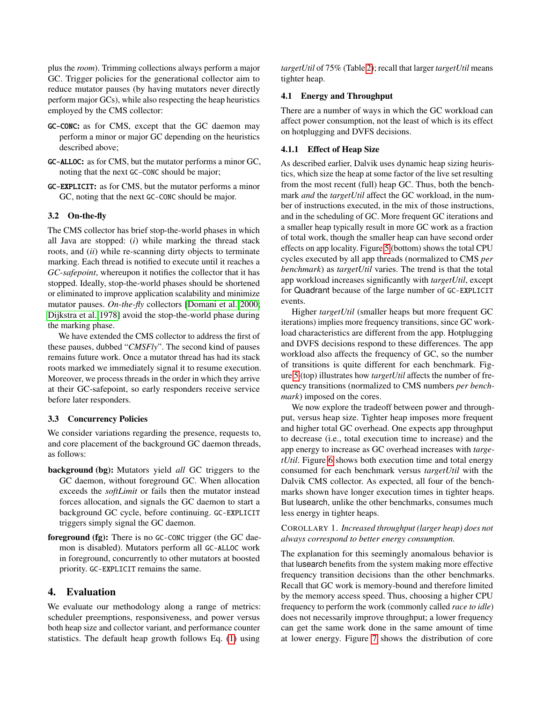plus the *room*). Trimming collections always perform a major GC. Trigger policies for the generational collector aim to reduce mutator pauses (by having mutators never directly perform major GCs), while also respecting the heap heuristics employed by the CMS collector:

- GC-CONC: as for CMS, except that the GC daemon may perform a minor or major GC depending on the heuristics described above;
- GC-ALLOC: as for CMS, but the mutator performs a minor GC, noting that the next GC-CONC should be major;
- GC-EXPLICIT: as for CMS, but the mutator performs a minor GC, noting that the next GC-CONC should be major.

# 3.2 On-the-fly

The CMS collector has brief stop-the-world phases in which all Java are stopped: (*i*) while marking the thread stack roots, and (*ii*) while re-scanning dirty objects to terminate marking. Each thread is notified to execute until it reaches a *GC-safepoint*, whereupon it notifies the collector that it has stopped. Ideally, stop-the-world phases should be shortened or eliminated to improve application scalability and minimize mutator pauses. *On-the-fly* collectors [\[Domani et al. 2000;](#page-10-14) [Dijkstra et al. 1978\]](#page-10-15) avoid the stop-the-world phase during the marking phase.

We have extended the CMS collector to address the first of these pauses, dubbed "*CMSFly*". The second kind of pauses remains future work. Once a mutator thread has had its stack roots marked we immediately signal it to resume execution. Moreover, we process threads in the order in which they arrive at their GC-safepoint, so early responders receive service before later responders.

# 3.3 Concurrency Policies

We consider variations regarding the presence, requests to, and core placement of the background GC daemon threads, as follows:

- background (bg): Mutators yield *all* GC triggers to the GC daemon, without foreground GC. When allocation exceeds the *softLimit* or fails then the mutator instead forces allocation, and signals the GC daemon to start a background GC cycle, before continuing. GC-EXPLICIT triggers simply signal the GC daemon.
- foreground (fg): There is no GC-CONC trigger (the GC daemon is disabled). Mutators perform all GC-ALLOC work in foreground, concurrently to other mutators at boosted priority. GC-EXPLICIT remains the same.

# 4. Evaluation

We evaluate our methodology along a range of metrics: scheduler preemptions, responsiveness, and power versus both heap size and collector variant, and performance counter statistics. The default heap growth follows Eq. [\(1\)](#page-1-1) using *targetUtil* of 75% (Table [2\)](#page-3-1); recall that larger *targetUtil* means tighter heap.

# 4.1 Energy and Throughput

There are a number of ways in which the GC workload can affect power consumption, not the least of which is its effect on hotplugging and DVFS decisions.

#### 4.1.1 Effect of Heap Size

As described earlier, Dalvik uses dynamic heap sizing heuristics, which size the heap at some factor of the live set resulting from the most recent (full) heap GC. Thus, both the benchmark *and* the *targetUtil* affect the GC workload, in the number of instructions executed, in the mix of those instructions, and in the scheduling of GC. More frequent GC iterations and a smaller heap typically result in more GC work as a fraction of total work, though the smaller heap can have second order effects on app locality. Figure [5](#page-6-0) (bottom) shows the total CPU cycles executed by all app threads (normalized to CMS *per benchmark*) as *targetUtil* varies. The trend is that the total app workload increases significantly with *targetUtil*, except for Quadrant because of the large number of GC-EXPLICIT events.

Higher *targetUtil* (smaller heaps but more frequent GC iterations) implies more frequency transitions, since GC workload characteristics are different from the app. Hotplugging and DVFS decisions respond to these differences. The app workload also affects the frequency of GC, so the number of transitions is quite different for each benchmark. Figure [5](#page-6-0) (top) illustrates how *targetUtil* affects the number of frequency transitions (normalized to CMS numbers *per benchmark*) imposed on the cores.

We now explore the tradeoff between power and throughput, versus heap size. Tighter heap imposes more frequent and higher total GC overhead. One expects app throughput to decrease (i.e., total execution time to increase) and the app energy to increase as GC overhead increases with *targetUtil*. Figure [6](#page-6-0) shows both execution time and total energy consumed for each benchmark versus *targetUtil* with the Dalvik CMS collector. As expected, all four of the benchmarks shown have longer execution times in tighter heaps. But lusearch, unlike the other benchmarks, consumes much less energy in tighter heaps.

# COROLLARY 1. *Increased throughput (larger heap) does not always correspond to better energy consumption.*

The explanation for this seemingly anomalous behavior is that lusearch benefits from the system making more effective frequency transition decisions than the other benchmarks. Recall that GC work is memory-bound and therefore limited by the memory access speed. Thus, choosing a higher CPU frequency to perform the work (commonly called *race to idle*) does not necessarily improve throughput; a lower frequency can get the same work done in the same amount of time at lower energy. Figure [7](#page-6-1) shows the distribution of core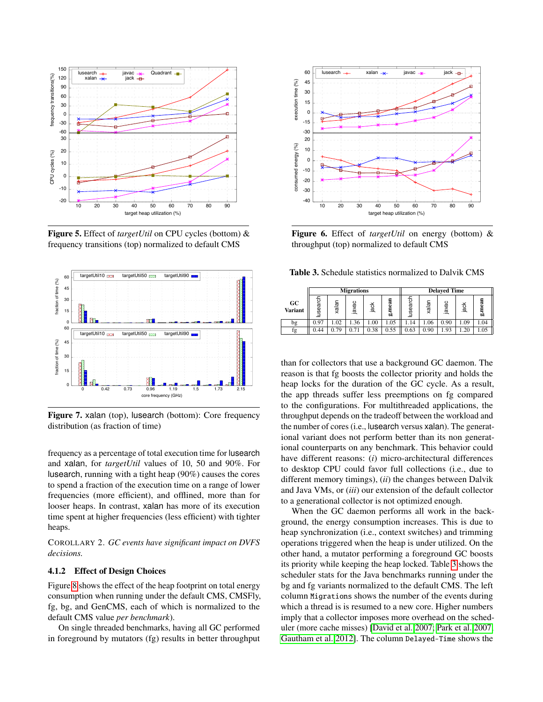<span id="page-6-0"></span>

Figure 5. Effect of *targetUtil* on CPU cycles (bottom) & frequency transitions (top) normalized to default CMS

<span id="page-6-1"></span>

Figure 7. xalan (top), lusearch (bottom): Core frequency distribution (as fraction of time)

frequency as a percentage of total execution time for lusearch and xalan, for *targetUtil* values of 10, 50 and 90%. For lusearch, running with a tight heap (90%) causes the cores to spend a fraction of the execution time on a range of lower frequencies (more efficient), and offlined, more than for looser heaps. In contrast, xalan has more of its execution time spent at higher frequencies (less efficient) with tighter heaps.

COROLLARY 2. GC events have significant impact on DVFS decisions.

# 4.1.2 Effect of Design Choices

Figure 8 shows the effect of the heap footprint on total energy consumption when running under the default CMS, CMSFly, fg, bg, and GenCMS, each of which is normalized to the default CMS value per benchmark).

On single threaded benchmarks, having all GC performed in foreground by mutators (fg) results in better throughput



Figure 6. Effect of targetUtil on energy (bottom) & throughput (top) normalized to default CMS

<span id="page-6-2"></span>Table 3. Schedule statistics normalized to Dalvik CMS

|               |                  |       | <b>Migrations</b>                 |      |        | <b>Delayed Time</b> |       |                 |                        |            |  |  |  |
|---------------|------------------|-------|-----------------------------------|------|--------|---------------------|-------|-----------------|------------------------|------------|--|--|--|
| GC<br>Variant | ਨ<br>ω<br>Φ<br>S | xalan | ac<br>v<br><u>ලි</u><br><u>ેહ</u> |      | g.mean | ত<br>ਨੋ<br>luse     | xalar | go<br><u>.ଟ</u> | $\check{ }$<br>ैं<br>ज | mean<br>ыò |  |  |  |
| bg            | 0.97             | 1.02  | .36                               | 1.00 | 1.05   | 14                  | l.06  | 0.90            | 1.09                   | 1.04       |  |  |  |
| fg            | 0.44             | 0.79  | 0.71                              | 0.38 | 0.55   | 0.63                | 0.90  | 1.93            | 1.20                   | 1.05       |  |  |  |

than for collectors that use a background GC daemon. The reason is that fg boosts the collector priority and holds the heap locks for the duration of the GC cycle. As a result, the app threads suffer less preemptions on fg compared to the configurations. For multithreaded applications, the throughput depends on the tradeoff between the workload and the number of cores (i.e., lusearch versus xalan). The generational variant does not perform better than its non generational counterparts on any benchmark. This behavior could have different reasons: (i) micro-architectural differences to desktop CPU could favor full collections (i.e., due to different memory timings), *(ii)* the changes between Dalvik and Java VMs, or *(iii)* our extension of the default collector to a generational collector is not optimized enough.

When the GC daemon performs all work in the background, the energy consumption increases. This is due to heap synchronization (*i.e.*, context switches) and trimming operations triggered when the heap is under utilized. On the other hand, a mutator performing a foreground GC boosts its priority while keeping the heap locked. Table 3 shows the scheduler stats for the Java benchmarks running under the bg and fg variants normalized to the default CMS. The left column Migrations shows the number of the events during which a thread is is resumed to a new core. Higher numbers imply that a collector imposes more overhead on the scheduler (more cache misses) [David et al. 2007; Park et al. 2007; Gautham et al. 2012]. The column Delayed-Time shows the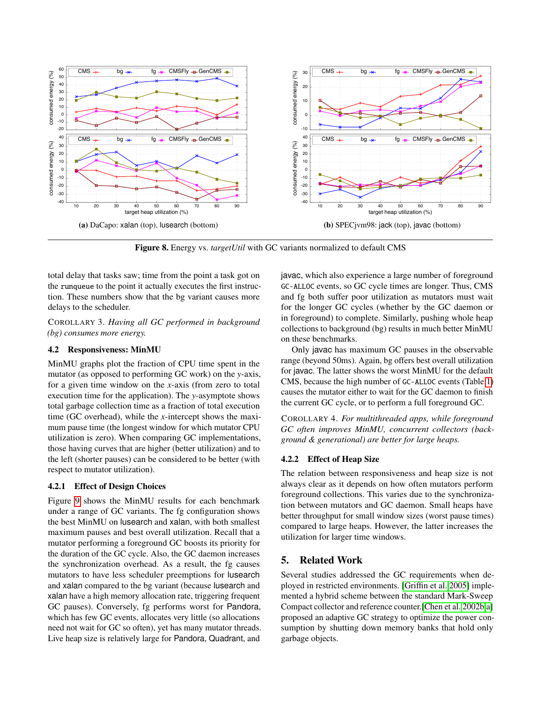<span id="page-7-0"></span>

Figure 8. Energy vs. targetUtil with GC variants normalized to default CMS

total delay that tasks saw; time from the point a task got on the runqueue to the point it actually executes the first instruction. These numbers show that the bg variant causes more delays to the scheduler.

COROLLARY 3. Having all GC performed in background  $(bg)$  consumes more energy.

### 4.2 Responsiveness: MinMU

MinMU graphs plot the fraction of CPU time spent in the mutator (as opposed to performing GC work) on the y-axis, for a given time window on the  $x$ -axis (from zero to total execution time for the application). The y-asymptote shows total garbage collection time as a fraction of total execution time (GC overhead), while the *x*-intercept shows the maximum pause time (the longest window for which mutator CPU) utilization is zero). When comparing GC implementations, those having curves that are higher (better utilization) and to the left (shorter pauses) can be considered to be better (with respect to mutator utilization).

# 4.2.1 Effect of Design Choices

Figure 9 shows the MinMU results for each benchmark under a range of GC variants. The fg configuration shows the best MinMU on lusearch and xalan, with both smallest maximum pauses and best overall utilization. Recall that a mutator performing a foreground GC boosts its priority for the duration of the GC cycle. Also, the GC daemon increases the synchronization overhead. As a result, the fg causes mutators to have less scheduler preemptions for lusearch and xalan compared to the bg variant (because lusearch and xalan have a high memory allocation rate, triggering frequent GC pauses). Conversely, fg performs worst for Pandora, which has few GC events, allocates very little (so allocations need not wait for GC so often), yet has many mutator threads. Live heap size is relatively large for Pandora, Quadrant, and

javac, which also experience a large number of foreground GC-ALLOC events, so GC cycle times are longer. Thus, CMS and fg both suffer poor utilization as mutators must wait for the longer GC cycles (whether by the GC daemon or in foreground) to complete. Similarly, pushing whole heap collections to background (bg) results in much better MinMU on these benchmarks.

Only javac has maximum GC pauses in the observable range (beyond 50ms). Again, bg offers best overall utilization for javac. The latter shows the worst MinMU for the default CMS, because the high number of GC-ALLOC events (Table 1) causes the mutator either to wait for the GC daemon to finish the current GC cycle, or to perform a full foreground GC.

COROLLARY 4. For multithreaded apps, while foreground GC often improves MinMU, concurrent collectors (background & generational) are better for large heaps.

# 4.2.2 Effect of Heap Size

The relation between responsiveness and heap size is not always clear as it depends on how often mutators perform foreground collections. This varies due to the synchronization between mutators and GC daemon. Small heaps have better throughput for small window sizes (worst pause times) compared to large heaps. However, the latter increases the utilization for larger time windows.

#### **Related Work** 5.

Several studies addressed the GC requirements when deployed in restricted environments. [Griffin et al. 2005] implemented a hybrid scheme between the standard Mark-Sweep Compact collector and reference counter. [Chen et al. 2002b,a] proposed an adaptive GC strategy to optimize the power consumption by shutting down memory banks that hold only garbage objects.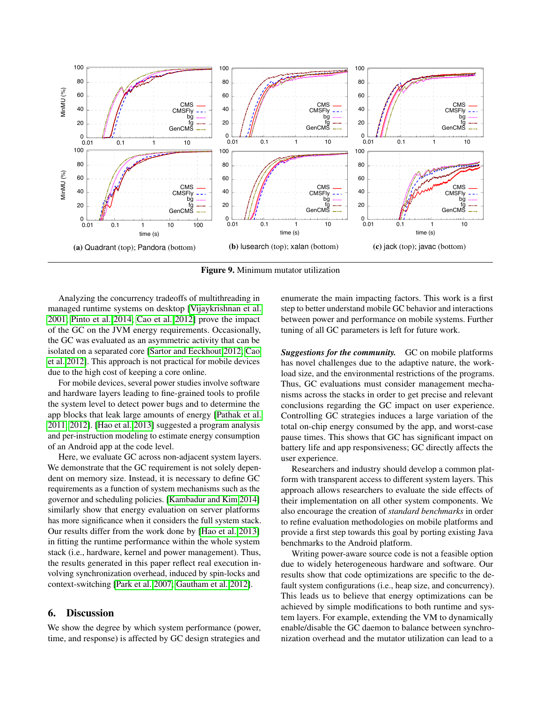<span id="page-8-0"></span>

Figure 9. Minimum mutator utilization

Analyzing the concurrency tradeoffs of multithreading in managed runtime systems on desktop [Vijaykrishnan et al. 2001; Pinto et al. 2014; Cao et al. 2012] prove the impact of the GC on the JVM energy requirements. Occasionally, the GC was evaluated as an asymmetric activity that can be isolated on a separated core [Sartor and Eeckhout 2012; Cao et al. 2012]. This approach is not practical for mobile devices due to the high cost of keeping a core online.

For mobile devices, several power studies involve software and hardware layers leading to fine-grained tools to profile the system level to detect power bugs and to determine the app blocks that leak large amounts of energy [Pathak et al. 2011, 2012]. [Hao et al. 2013] suggested a program analysis and per-instruction modeling to estimate energy consumption of an Android app at the code level.

Here, we evaluate GC across non-adjacent system layers. We demonstrate that the GC requirement is not solely dependent on memory size. Instead, it is necessary to define GC requirements as a function of system mechanisms such as the governor and scheduling policies. [Kambadur and Kim 2014] similarly show that energy evaluation on server platforms has more significance when it considers the full system stack. Our results differ from the work done by [Hao et al. 2013] in fitting the runtime performance within the whole system stack (*i.e.*, hardware, kernel and power management). Thus, the results generated in this paper reflect real execution involving synchronization overhead, induced by spin-locks and context-switching [Park et al. 2007; Gautham et al. 2012].

#### **Discussion** 6.

We show the degree by which system performance (power, time, and response) is affected by GC design strategies and enumerate the main impacting factors. This work is a first step to better understand mobile GC behavior and interactions between power and performance on mobile systems. Further tuning of all GC parameters is left for future work.

**Suggestions for the community.** GC on mobile platforms has novel challenges due to the adaptive nature, the workload size, and the environmental restrictions of the programs. Thus, GC evaluations must consider management mechanisms across the stacks in order to get precise and relevant conclusions regarding the GC impact on user experience. Controlling GC strategies induces a large variation of the total on-chip energy consumed by the app, and worst-case pause times. This shows that GC has significant impact on battery life and app responsiveness; GC directly affects the user experience.

Researchers and industry should develop a common platform with transparent access to different system layers. This approach allows researchers to evaluate the side effects of their implementation on all other system components. We also encourage the creation of *standard benchmarks* in order to refine evaluation methodologies on mobile platforms and provide a first step towards this goal by porting existing Java benchmarks to the Android platform.

Writing power-aware source code is not a feasible option due to widely heterogeneous hardware and software. Our results show that code optimizations are specific to the default system configurations (i.e., heap size, and concurrency). This leads us to believe that energy optimizations can be achieved by simple modifications to both runtime and system layers. For example, extending the VM to dynamically enable/disable the GC daemon to balance between synchronization overhead and the mutator utilization can lead to a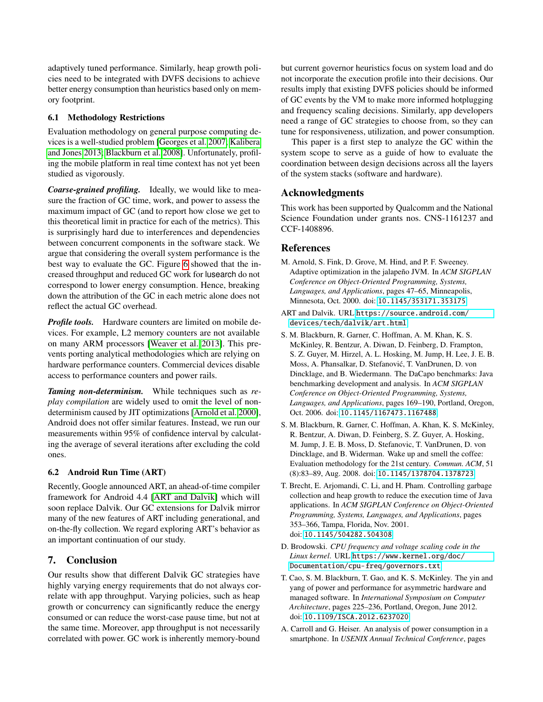adaptively tuned performance. Similarly, heap growth policies need to be integrated with DVFS decisions to achieve better energy consumption than heuristics based only on memory footprint.

# 6.1 Methodology Restrictions

Evaluation methodology on general purpose computing devices is a well-studied problem [\[Georges et al. 2007;](#page-10-22) [Kalibera](#page-10-23) [and Jones 2013;](#page-10-23) [Blackburn et al. 2008\]](#page-9-5). Unfortunately, profiling the mobile platform in real time context has not yet been studied as vigorously.

*Coarse-grained profiling.* Ideally, we would like to measure the fraction of GC time, work, and power to assess the maximum impact of GC (and to report how close we get to this theoretical limit in practice for each of the metrics). This is surprisingly hard due to interferences and dependencies between concurrent components in the software stack. We argue that considering the overall system performance is the best way to evaluate the GC. Figure [6](#page-6-0) showed that the increased throughput and reduced GC work for lusearch do not correspond to lower energy consumption. Hence, breaking down the attribution of the GC in each metric alone does not reflect the actual GC overhead.

*Profile tools.* Hardware counters are limited on mobile devices. For example, L2 memory counters are not available on many ARM processors [\[Weaver et al. 2013\]](#page-11-15). This prevents porting analytical methodologies which are relying on hardware performance counters. Commercial devices disable access to performance counters and power rails.

*Taming non-determinism.* While techniques such as *replay compilation* are widely used to omit the level of nondeterminism caused by JIT optimizations [\[Arnold et al. 2000\]](#page-9-6), Android does not offer similar features. Instead, we run our measurements within 95% of confidence interval by calculating the average of several iterations after excluding the cold ones.

# 6.2 Android Run Time (ART)

Recently, Google announced ART, an ahead-of-time compiler framework for Android 4.4 [\[ART and Dalvik\]](#page-9-7) which will soon replace Dalvik. Our GC extensions for Dalvik mirror many of the new features of ART including generational, and on-the-fly collection. We regard exploring ART's behavior as an important continuation of our study.

# 7. Conclusion

Our results show that different Dalvik GC strategies have highly varying energy requirements that do not always correlate with app throughput. Varying policies, such as heap growth or concurrency can significantly reduce the energy consumed or can reduce the worst-case pause time, but not at the same time. Moreover, app throughput is not necessarily correlated with power. GC work is inherently memory-bound

but current governor heuristics focus on system load and do not incorporate the execution profile into their decisions. Our results imply that existing DVFS policies should be informed of GC events by the VM to make more informed hotplugging and frequency scaling decisions. Similarly, app developers need a range of GC strategies to choose from, so they can tune for responsiveness, utilization, and power consumption.

This paper is a first step to analyze the GC within the system scope to serve as a guide of how to evaluate the coordination between design decisions across all the layers of the system stacks (software and hardware).

# Acknowledgments

This work has been supported by Qualcomm and the National Science Foundation under grants nos. CNS-1161237 and CCF-1408896.

# References

- <span id="page-9-6"></span>M. Arnold, S. Fink, D. Grove, M. Hind, and P. F. Sweeney. Adaptive optimization in the jalapeño JVM. In *ACM SIGPLAN Conference on Object-Oriented Programming, Systems, Languages, and Applications*, pages 47–65, Minneapolis, Minnesota, Oct. 2000. doi: [10.1145/353171.353175](http://dx.doi.org/10.1145/353171.353175).
- <span id="page-9-7"></span>ART and Dalvik. URL [https://source.android.com/](https://source.android.com/devices/tech/dalvik/art.html) [devices/tech/dalvik/art.html](https://source.android.com/devices/tech/dalvik/art.html).
- <span id="page-9-4"></span>S. M. Blackburn, R. Garner, C. Hoffman, A. M. Khan, K. S. McKinley, R. Bentzur, A. Diwan, D. Feinberg, D. Frampton, S. Z. Guyer, M. Hirzel, A. L. Hosking, M. Jump, H. Lee, J. E. B. Moss, A. Phansalkar, D. Stefanovic, T. VanDrunen, D. von ´ Dincklage, and B. Wiedermann. The DaCapo benchmarks: Java benchmarking development and analysis. In *ACM SIGPLAN Conference on Object-Oriented Programming, Systems, Languages, and Applications*, pages 169–190, Portland, Oregon, Oct. 2006. doi: [10.1145/1167473.1167488](http://dx.doi.org/10.1145/1167473.1167488).
- <span id="page-9-5"></span>S. M. Blackburn, R. Garner, C. Hoffman, A. Khan, K. S. McKinley, R. Bentzur, A. Diwan, D. Feinberg, S. Z. Guyer, A. Hosking, M. Jump, J. E. B. Moss, D. Stefanovic, T. VanDrunen, D. von Dincklage, and B. Widerman. Wake up and smell the coffee: Evaluation methodology for the 21st century. *Commun. ACM*, 51 (8):83–89, Aug. 2008. doi: [10.1145/1378704.1378723](http://dx.doi.org/10.1145/1378704.1378723).
- <span id="page-9-3"></span>T. Brecht, E. Arjomandi, C. Li, and H. Pham. Controlling garbage collection and heap growth to reduce the execution time of Java applications. In *ACM SIGPLAN Conference on Object-Oriented Programming, Systems, Languages, and Applications*, pages 353–366, Tampa, Florida, Nov. 2001. doi: [10.1145/504282.504308](http://dx.doi.org/10.1145/504282.504308).
- <span id="page-9-1"></span>D. Brodowski. *CPU frequency and voltage scaling code in the Linux kernel*. URL [https://www.kernel.org/doc/](https://www.kernel.org/doc/Documentation/cpu-freq/governors.txt) [Documentation/cpu-freq/governors.txt](https://www.kernel.org/doc/Documentation/cpu-freq/governors.txt).
- <span id="page-9-0"></span>T. Cao, S. M. Blackburn, T. Gao, and K. S. McKinley. The yin and yang of power and performance for asymmetric hardware and managed software. In *International Symposium on Computer Architecture*, pages 225–236, Portland, Oregon, June 2012. doi: [10.1109/ISCA.2012.6237020](http://dx.doi.org/10.1109/ISCA.2012.6237020).
- <span id="page-9-2"></span>A. Carroll and G. Heiser. An analysis of power consumption in a smartphone. In *USENIX Annual Technical Conference*, pages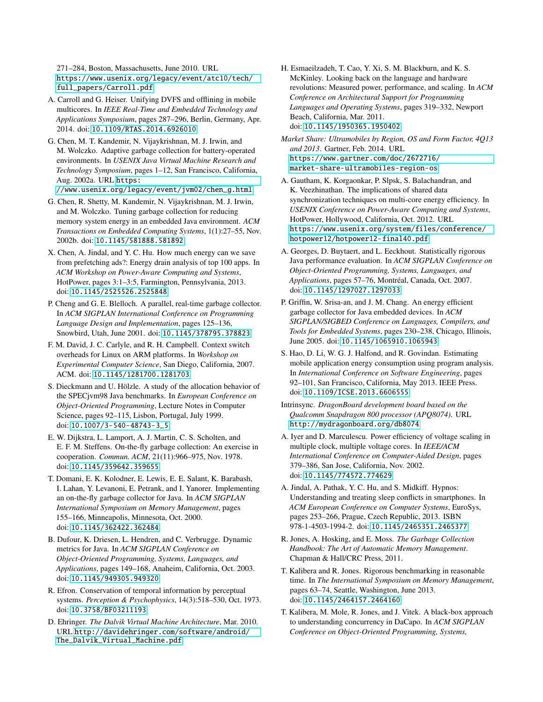271–284, Boston, Massachusetts, June 2010. URL [https://www.usenix.org/legacy/event/atc10/tech/](https://www.usenix.org/legacy/event/atc10/tech/full_papers/Carroll.pdf) [full\\_papers/Carroll.pdf](https://www.usenix.org/legacy/event/atc10/tech/full_papers/Carroll.pdf).

- <span id="page-10-3"></span>A. Carroll and G. Heiser. Unifying DVFS and offlining in mobile multicores. In *IEEE Real-Time and Embedded Technology and Applications Symposium*, pages 287–296, Berlin, Germany, Apr. 2014. doi: [10.1109/RTAS.2014.6926010](http://dx.doi.org/10.1109/RTAS.2014.6926010).
- <span id="page-10-20"></span>G. Chen, M. T. Kandemir, N. Vijaykrishnan, M. J. Irwin, and M. Wolczko. Adaptive garbage collection for battery-operated environments. In *USENIX Java Virtual Machine Research and Technology Symposium*, pages 1–12, San Francisco, California, Aug. 2002a. URL [https:](https://www.usenix.org/legacy/event/jvm02/chen_g.html)

[//www.usenix.org/legacy/event/jvm02/chen\\_g.html](https://www.usenix.org/legacy/event/jvm02/chen_g.html).

- <span id="page-10-19"></span>G. Chen, R. Shetty, M. Kandemir, N. Vijaykrishnan, M. J. Irwin, and M. Wolczko. Tuning garbage collection for reducing memory system energy in an embedded Java environment. *ACM Transactions on Embedded Computing Systems*, 1(1):27–55, Nov. 2002b. doi: [10.1145/581888.581892](http://dx.doi.org/10.1145/581888.581892).
- <span id="page-10-5"></span>X. Chen, A. Jindal, and Y. C. Hu. How much energy can we save from prefetching ads?: Energy drain analysis of top 100 apps. In *ACM Workshop on Power-Aware Computing and Systems*, HotPower, pages 3:1–3:5, Farmington, Pennsylvania, 2013. doi: [10.1145/2525526.2525848](http://dx.doi.org/10.1145/2525526.2525848).
- <span id="page-10-13"></span>P. Cheng and G. E. Blelloch. A parallel, real-time garbage collector. In *ACM SIGPLAN International Conference on Programming Language Design and Implementation*, pages 125–136, Snowbird, Utah, June 2001. doi: [10.1145/378795.378823](http://dx.doi.org/10.1145/378795.378823).
- <span id="page-10-16"></span>F. M. David, J. C. Carlyle, and R. H. Campbell. Context switch overheads for Linux on ARM platforms. In *Workshop on Experimental Computer Science*, San Diego, California, 2007. ACM. doi: [10.1145/1281700.1281703](http://dx.doi.org/10.1145/1281700.1281703).
- <span id="page-10-8"></span>S. Dieckmann and U. Hölzle. A study of the allocation behavior of the SPECjvm98 Java benchmarks. In *European Conference on Object-Oriented Programming*, Lecture Notes in Computer Science, pages 92–115, Lisbon, Portugal, July 1999. doi: [10.1007/3-540-48743-3\\_5](http://dx.doi.org/10.1007/3-540-48743-3_5).
- <span id="page-10-15"></span>E. W. Dijkstra, L. Lamport, A. J. Martin, C. S. Scholten, and E. F. M. Steffens. On-the-fly garbage collection: An exercise in cooperation. *Commun. ACM*, 21(11):966–975, Nov. 1978. doi: [10.1145/359642.359655](http://dx.doi.org/10.1145/359642.359655).
- <span id="page-10-14"></span>T. Domani, E. K. Kolodner, E. Lewis, E. E. Salant, K. Barabash, I. Lahan, Y. Levanoni, E. Petrank, and I. Yanorer. Implementing an on-the-fly garbage collector for Java. In *ACM SIGPLAN International Symposium on Memory Management*, pages 155–166, Minneapolis, Minnesota, Oct. 2000. doi: [10.1145/362422.362484](http://dx.doi.org/10.1145/362422.362484).
- <span id="page-10-9"></span>B. Dufour, K. Driesen, L. Hendren, and C. Verbrugge. Dynamic metrics for Java. In *ACM SIGPLAN Conference on Object-Oriented Programming, Systems, Languages, and Applications*, pages 149–168, Anaheim, California, Oct. 2003. doi: [10.1145/949305.949320](http://dx.doi.org/10.1145/949305.949320).
- <span id="page-10-12"></span>R. Efron. Conservation of temporal information by perceptual systems. *Perception & Psychophysics*, 14(3):518–530, Oct. 1973. doi: [10.3758/BF03211193](http://dx.doi.org/10.3758/BF03211193).
- <span id="page-10-6"></span>D. Ehringer. *The Dalvik Virtual Machine Architecture*, Mar. 2010. URL [http://davidehringer.com/software/android/](http://davidehringer.com/software/android/The_Dalvik_Virtual_Machine.pdf) [The\\_Dalvik\\_Virtual\\_Machine.pdf](http://davidehringer.com/software/android/The_Dalvik_Virtual_Machine.pdf).
- <span id="page-10-1"></span>H. Esmaeilzadeh, T. Cao, Y. Xi, S. M. Blackburn, and K. S. McKinley. Looking back on the language and hardware revolutions: Measured power, performance, and scaling. In *ACM Conference on Architectural Support for Programming Languages and Operating Systems*, pages 319–332, Newport Beach, California, Mar. 2011. doi: [10.1145/1950365.1950402](http://dx.doi.org/10.1145/1950365.1950402).
- <span id="page-10-0"></span>*Market Share: Ultramobiles by Region, OS and Form Factor, 4Q13 and 2013*. Gartner, Feb. 2014. URL [https://www.gartner.com/doc/2672716/](https://www.gartner.com/doc/2672716/market-share-ultramobiles-region-os) [market-share-ultramobiles-region-os](https://www.gartner.com/doc/2672716/market-share-ultramobiles-region-os).
- <span id="page-10-17"></span>A. Gautham, K. Korgaonkar, P. Slpsk, S. Balachandran, and K. Veezhinathan. The implications of shared data synchronization techniques on multi-core energy efficiency. In *USENIX Conference on Power-Aware Computing and Systems*, HotPower, Hollywood, California, Oct. 2012. URL [https://www.usenix.org/system/files/conference/](https://www.usenix.org/system/files/conference/hotpower12/hotpower12-final40.pdf) [hotpower12/hotpower12-final40.pdf](https://www.usenix.org/system/files/conference/hotpower12/hotpower12-final40.pdf).
- <span id="page-10-22"></span>A. Georges, D. Buytaert, and L. Eeckhout. Statistically rigorous Java performance evaluation. In *ACM SIGPLAN Conference on Object-Oriented Programming, Systems, Languages, and Applications*, pages 57–76, Montréal, Canada, Oct. 2007. doi: [10.1145/1297027.1297033](http://dx.doi.org/10.1145/1297027.1297033).
- <span id="page-10-18"></span>P. Griffin, W. Srisa-an, and J. M. Chang. An energy efficient garbage collector for Java embedded devices. In *ACM SIGPLAN/SIGBED Conference on Languages, Compilers, and Tools for Embedded Systems*, pages 230–238, Chicago, Illinois, June 2005. doi: [10.1145/1065910.1065943](http://dx.doi.org/10.1145/1065910.1065943).
- <span id="page-10-21"></span>S. Hao, D. Li, W. G. J. Halfond, and R. Govindan. Estimating mobile application energy consumption using program analysis. In *International Conference on Software Engineering*, pages 92–101, San Francisco, California, May 2013. IEEE Press. doi: [10.1109/ICSE.2013.6606555](http://dx.doi.org/10.1109/ICSE.2013.6606555).
- <span id="page-10-11"></span>Intrinsync. *DragonBoard development board based on the Qualcomm Snapdragon 800 processor (APQ8074)*. URL <http://mydragonboard.org/db8074>.
- <span id="page-10-2"></span>A. Iyer and D. Marculescu. Power efficiency of voltage scaling in multiple clock, multiple voltage cores. In *IEEE/ACM International Conference on Computer-Aided Design*, pages 379–386, San Jose, California, Nov. 2002. doi: [10.1145/774572.774629](http://dx.doi.org/10.1145/774572.774629).
- <span id="page-10-4"></span>A. Jindal, A. Pathak, Y. C. Hu, and S. Midkiff. Hypnos: Understanding and treating sleep conflicts in smartphones. In *ACM European Conference on Computer Systems*, EuroSys, pages 253–266, Prague, Czech Republic, 2013. ISBN 978-1-4503-1994-2. doi: [10.1145/2465351.2465377](http://dx.doi.org/10.1145/2465351.2465377).
- <span id="page-10-7"></span>R. Jones, A. Hosking, and E. Moss. *The Garbage Collection Handbook: The Art of Automatic Memory Management*. Chapman & Hall/CRC Press, 2011.
- <span id="page-10-23"></span>T. Kalibera and R. Jones. Rigorous benchmarking in reasonable time. In *The International Symposium on Memory Management*, pages 63–74, Seattle, Washington, June 2013. doi: [10.1145/2464157.2464160](http://dx.doi.org/10.1145/2464157.2464160).
- <span id="page-10-10"></span>T. Kalibera, M. Mole, R. Jones, and J. Vitek. A black-box approach to understanding concurrency in DaCapo. In *ACM SIGPLAN Conference on Object-Oriented Programming, Systems,*